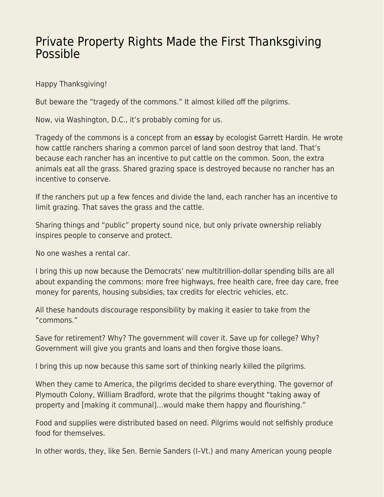## [Private Property Rights Made the First Thanksgiving](https://everything-voluntary.com/private-property-rights-made-the-first-thanksgiving-possible) [Possible](https://everything-voluntary.com/private-property-rights-made-the-first-thanksgiving-possible)

Happy Thanksgiving!

But beware the "tragedy of the commons." It almost killed off the pilgrims.

Now, via Washington, D.C., it's probably coming for us.

Tragedy of the commons is a concept from an [essay](https://www.science.org/doi/10.1126/science.162.3859.1243) by ecologist Garrett Hardin. He wrote how cattle ranchers sharing a common parcel of land soon destroy that land. That's because each rancher has an incentive to put cattle on the common. Soon, the extra animals eat all the grass. Shared grazing space is destroyed because no rancher has an incentive to conserve.

If the ranchers put up a few fences and divide the land, each rancher has an incentive to limit grazing. That saves the grass and the cattle.

Sharing things and "public" property sound nice, but only private ownership reliably inspires people to conserve and protect.

No one washes a rental car.

I bring this up now because the Democrats' new multitrillion-dollar spending bills are all about expanding the commons: more free highways, free health care, free day care, free money for parents, housing subsidies, tax credits for electric vehicles, etc.

All these handouts discourage responsibility by making it easier to take from the "commons."

Save for retirement? Why? The government will cover it. Save up for college? Why? Government will give you grants and loans and then forgive those loans.

I bring this up now because this same sort of thinking nearly killed the pilgrims.

When they came to America, the pilgrims decided to share everything. The governor of Plymouth Colony, William Bradford, wrote that the pilgrims thought "taking away of property and [making it communal]…would make them happy and flourishing."

Food and supplies were distributed based on need. Pilgrims would not selfishly produce food for themselves.

In other words, they, like Sen. Bernie Sanders (I–Vt.) and many American young people